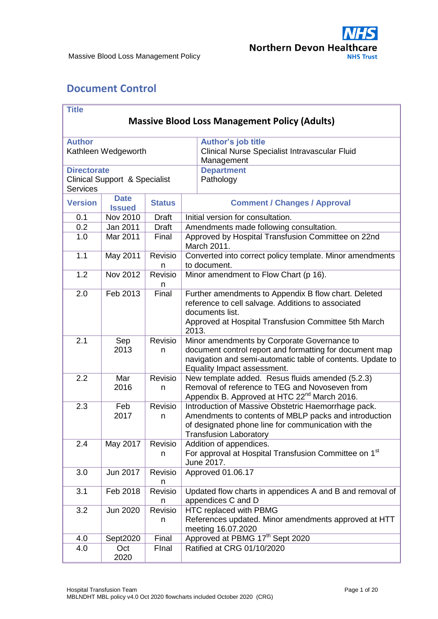# <span id="page-0-0"></span>**Document Control**

| <b>Title</b>                                                |                     |               |                                                                          |  |  |
|-------------------------------------------------------------|---------------------|---------------|--------------------------------------------------------------------------|--|--|
|                                                             |                     |               | <b>Massive Blood Loss Management Policy (Adults)</b>                     |  |  |
| <b>Author</b>                                               |                     |               | Author's job title                                                       |  |  |
|                                                             | Kathleen Wedgeworth |               | Clinical Nurse Specialist Intravascular Fluid                            |  |  |
|                                                             |                     |               | Management                                                               |  |  |
| <b>Directorate</b>                                          |                     |               | <b>Department</b>                                                        |  |  |
| <b>Clinical Support &amp; Specialist</b><br><b>Services</b> |                     |               | Pathology                                                                |  |  |
|                                                             | <b>Date</b>         |               |                                                                          |  |  |
| <b>Version</b>                                              | <b>Issued</b>       | <b>Status</b> | <b>Comment / Changes / Approval</b>                                      |  |  |
| 0.1                                                         | Nov 2010            | <b>Draft</b>  | Initial version for consultation.                                        |  |  |
| 0.2                                                         | Jan 2011            | <b>Draft</b>  | Amendments made following consultation.                                  |  |  |
| 1.0                                                         | Mar 2011            | Final         | Approved by Hospital Transfusion Committee on 22nd<br>March 2011.        |  |  |
| 1.1                                                         | May 2011            | Revisio<br>n  | Converted into correct policy template. Minor amendments<br>to document. |  |  |
| 1.2                                                         | Nov 2012            | Revisio<br>n  | Minor amendment to Flow Chart (p 16).                                    |  |  |
| 2.0                                                         | Feb 2013            | Final         | Further amendments to Appendix B flow chart. Deleted                     |  |  |
|                                                             |                     |               | reference to cell salvage. Additions to associated                       |  |  |
|                                                             |                     |               | documents list.                                                          |  |  |
|                                                             |                     |               | Approved at Hospital Transfusion Committee 5th March<br>2013.            |  |  |
| 2.1                                                         | Sep                 | Revisio       | Minor amendments by Corporate Governance to                              |  |  |
|                                                             | 2013                | n             | document control report and formatting for document map                  |  |  |
|                                                             |                     |               | navigation and semi-automatic table of contents. Update to               |  |  |
|                                                             |                     |               | Equality Impact assessment.                                              |  |  |
| 2.2                                                         | Mar                 | Revisio       | New template added. Resus fluids amended (5.2.3)                         |  |  |
|                                                             | 2016                | n             | Removal of reference to TEG and Novoseven from                           |  |  |
|                                                             |                     |               | Appendix B. Approved at HTC 22 <sup>nd</sup> March 2016.                 |  |  |
| 2.3                                                         | Feb                 | Revisio       | Introduction of Massive Obstetric Haemorrhage pack.                      |  |  |
|                                                             | 2017                | n             | Amendments to contents of MBLP packs and introduction                    |  |  |
|                                                             |                     |               | of designated phone line for communication with the                      |  |  |
|                                                             |                     |               | <b>Transfusion Laboratory</b>                                            |  |  |
| 2.4                                                         | May 2017            | Revisio       | Addition of appendices.                                                  |  |  |
|                                                             |                     | n             | For approval at Hospital Transfusion Committee on 1st<br>June 2017.      |  |  |
| 3.0                                                         | Jun 2017            | Revisio       | Approved 01.06.17                                                        |  |  |
|                                                             |                     | n             |                                                                          |  |  |
| 3.1                                                         | Feb 2018            | Revisio       | Updated flow charts in appendices A and B and removal of                 |  |  |
|                                                             |                     | n             | appendices C and D                                                       |  |  |
| 3.2                                                         | Jun 2020            | Revisio       | HTC replaced with PBMG                                                   |  |  |
|                                                             |                     | n             | References updated. Minor amendments approved at HTT                     |  |  |
|                                                             |                     |               | meeting 16.07.2020                                                       |  |  |
| 4.0                                                         | Sept2020            | Final         | Approved at PBMG 17th Sept 2020                                          |  |  |
| 4.0                                                         | Oct                 | Final         | Ratified at CRG 01/10/2020                                               |  |  |
|                                                             | 2020                |               |                                                                          |  |  |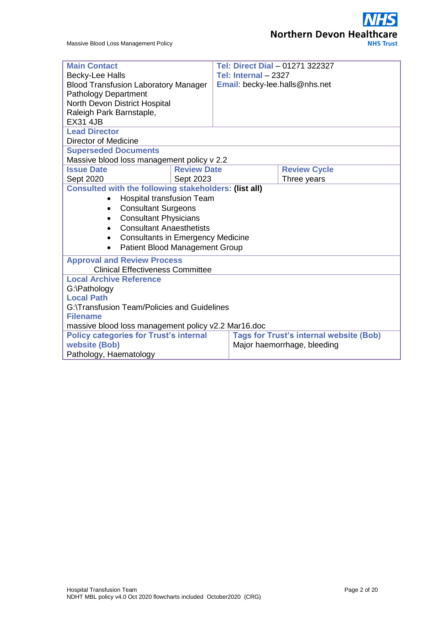# **HS Northern Devon Healthcare NHS Trust**

| <b>Main Contact</b><br><b>Becky-Lee Halls</b><br><b>Blood Transfusion Laboratory Manager</b><br><b>Pathology Department</b><br>North Devon District Hospital<br>Raleigh Park Barnstaple, |                    | Tel: Direct Dial - 01271 322327<br>Tel: Internal - 2327<br>Email: becky-lee.halls@nhs.net |                             |  |  |  |
|------------------------------------------------------------------------------------------------------------------------------------------------------------------------------------------|--------------------|-------------------------------------------------------------------------------------------|-----------------------------|--|--|--|
| <b>EX31 4JB</b><br><b>Lead Director</b>                                                                                                                                                  |                    |                                                                                           |                             |  |  |  |
| <b>Director of Medicine</b>                                                                                                                                                              |                    |                                                                                           |                             |  |  |  |
| <b>Superseded Documents</b>                                                                                                                                                              |                    |                                                                                           |                             |  |  |  |
| Massive blood loss management policy v 2.2                                                                                                                                               |                    |                                                                                           |                             |  |  |  |
| <b>Issue Date</b>                                                                                                                                                                        | <b>Review Date</b> |                                                                                           | <b>Review Cycle</b>         |  |  |  |
| Sept 2020                                                                                                                                                                                | Sept 2023          |                                                                                           | Three years                 |  |  |  |
| <b>Consulted with the following stakeholders: (list all)</b><br><b>Hospital transfusion Team</b><br><b>Consultant Surgeons</b><br><b>Consultant Physicians</b><br>$\bullet$              |                    |                                                                                           |                             |  |  |  |
| <b>Consultant Anaesthetists</b>                                                                                                                                                          |                    |                                                                                           |                             |  |  |  |
| <b>Consultants in Emergency Medicine</b><br>$\bullet$                                                                                                                                    |                    |                                                                                           |                             |  |  |  |
| <b>Patient Blood Management Group</b><br>$\bullet$                                                                                                                                       |                    |                                                                                           |                             |  |  |  |
| <b>Approval and Review Process</b><br><b>Clinical Effectiveness Committee</b>                                                                                                            |                    |                                                                                           |                             |  |  |  |
| <b>Local Archive Reference</b>                                                                                                                                                           |                    |                                                                                           |                             |  |  |  |
| G:\Pathology                                                                                                                                                                             |                    |                                                                                           |                             |  |  |  |
| <b>Local Path</b>                                                                                                                                                                        |                    |                                                                                           |                             |  |  |  |
| G:\Transfusion Team/Policies and Guidelines                                                                                                                                              |                    |                                                                                           |                             |  |  |  |
| <b>Filename</b>                                                                                                                                                                          |                    |                                                                                           |                             |  |  |  |
| massive blood loss management policy v2.2 Mar16.doc<br><b>Policy categories for Trust's internal</b><br><b>Tags for Trust's internal website (Bob)</b>                                   |                    |                                                                                           |                             |  |  |  |
| website (Bob)                                                                                                                                                                            |                    |                                                                                           | Major haemorrhage, bleeding |  |  |  |
| Pathology, Haematology                                                                                                                                                                   |                    |                                                                                           |                             |  |  |  |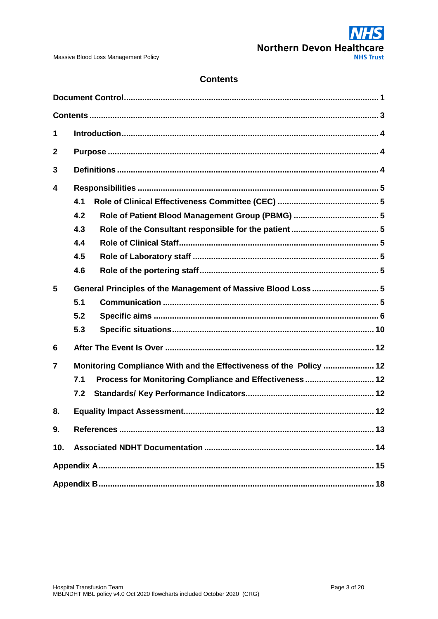# **Contents**

<span id="page-2-0"></span>

| 1   |                                                                    |  |  |  |  |
|-----|--------------------------------------------------------------------|--|--|--|--|
| 2   |                                                                    |  |  |  |  |
| 3   |                                                                    |  |  |  |  |
| 4   |                                                                    |  |  |  |  |
|     | 4.1                                                                |  |  |  |  |
|     | 4.2                                                                |  |  |  |  |
|     | 4.3                                                                |  |  |  |  |
|     | 4.4                                                                |  |  |  |  |
|     | 4.5                                                                |  |  |  |  |
|     | 4.6                                                                |  |  |  |  |
| 5   | General Principles of the Management of Massive Blood Loss 5       |  |  |  |  |
|     | 5.1                                                                |  |  |  |  |
|     | 5.2                                                                |  |  |  |  |
|     | 5.3                                                                |  |  |  |  |
| 6   |                                                                    |  |  |  |  |
| 7   | Monitoring Compliance With and the Effectiveness of the Policy  12 |  |  |  |  |
|     | Process for Monitoring Compliance and Effectiveness 12<br>7.1      |  |  |  |  |
|     | 7.2                                                                |  |  |  |  |
| 8.  |                                                                    |  |  |  |  |
| 9.  |                                                                    |  |  |  |  |
| 10. |                                                                    |  |  |  |  |
|     |                                                                    |  |  |  |  |
|     |                                                                    |  |  |  |  |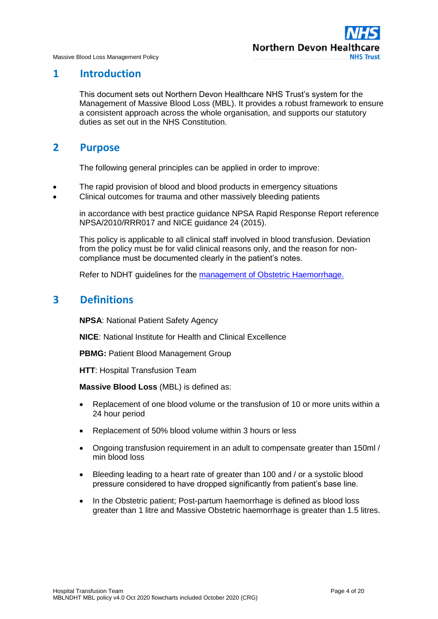# <span id="page-3-0"></span>**1 Introduction**

This document sets out Northern Devon Healthcare NHS Trust's system for the Management of Massive Blood Loss (MBL). It provides a robust framework to ensure a consistent approach across the whole organisation, and supports our statutory duties as set out in the NHS Constitution.

# <span id="page-3-1"></span>**2 Purpose**

The following general principles can be applied in order to improve:

- The rapid provision of blood and blood products in emergency situations
- Clinical outcomes for trauma and other massively bleeding patients

in accordance with best practice guidance NPSA Rapid Response Report reference NPSA/2010/RRR017 and NICE guidance 24 (2015).

This policy is applicable to all clinical staff involved in blood transfusion. Deviation from the policy must be for valid clinical reasons only, and the reason for noncompliance must be documented clearly in the patient's notes.

Refer to NDHT guidelines for the [management of Obstetric Haemorrhage.](https://ndht.ndevon.swest.nhs.uk/obstetric-haemorrhage-guideline/)

# <span id="page-3-2"></span>**3 Definitions**

**NPSA**: National Patient Safety Agency

**NICE**: National Institute for Health and Clinical Excellence

**PBMG: Patient Blood Management Group** 

**HTT**: Hospital Transfusion Team

**Massive Blood Loss** (MBL) is defined as:

- Replacement of one blood volume or the transfusion of 10 or more units within a 24 hour period
- Replacement of 50% blood volume within 3 hours or less
- Ongoing transfusion requirement in an adult to compensate greater than 150ml / min blood loss
- Bleeding leading to a heart rate of greater than 100 and / or a systolic blood pressure considered to have dropped significantly from patient's base line.
- In the Obstetric patient; Post-partum haemorrhage is defined as blood loss greater than 1 litre and Massive Obstetric haemorrhage is greater than 1.5 litres.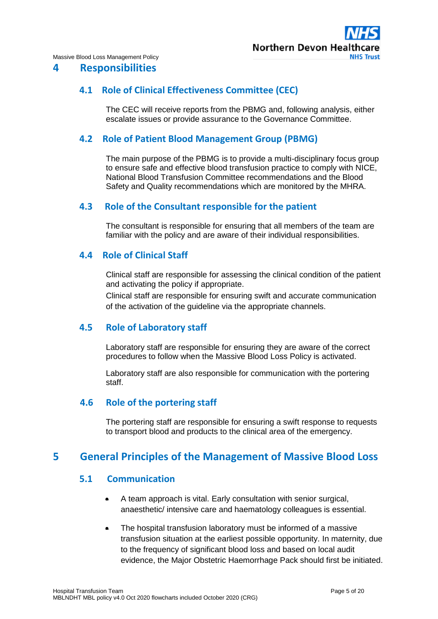# <span id="page-4-1"></span><span id="page-4-0"></span>**4 Responsibilities**

# **4.1 Role of Clinical Effectiveness Committee (CEC)**

The CEC will receive reports from the PBMG and, following analysis, either escalate issues or provide assurance to the Governance Committee.

### <span id="page-4-2"></span>**4.2 Role of Patient Blood Management Group (PBMG)**

The main purpose of the PBMG is to provide a multi-disciplinary focus group to ensure safe and effective blood transfusion practice to comply with NICE, National Blood Transfusion Committee recommendations and the Blood Safety and Quality recommendations which are monitored by the MHRA.

### **4.3 Role of the Consultant responsible for the patient**

<span id="page-4-3"></span>The consultant is responsible for ensuring that all members of the team are familiar with the policy and are aware of their individual responsibilities.

### <span id="page-4-4"></span>**4.4 Role of Clinical Staff**

Clinical staff are responsible for assessing the clinical condition of the patient and activating the policy if appropriate.

<span id="page-4-5"></span>Clinical staff are responsible for ensuring swift and accurate communication of the activation of the guideline via the appropriate channels.

### **4.5 Role of Laboratory staff**

Laboratory staff are responsible for ensuring they are aware of the correct procedures to follow when the Massive Blood Loss Policy is activated.

Laboratory staff are also responsible for communication with the portering staff.

### <span id="page-4-6"></span>**4.6 Role of the portering staff**

The portering staff are responsible for ensuring a swift response to requests to transport blood and products to the clinical area of the emergency.

# <span id="page-4-7"></span>**5 General Principles of the Management of Massive Blood Loss**

# **5.1 Communication**

- <span id="page-4-8"></span> A team approach is vital. Early consultation with senior surgical, anaesthetic/ intensive care and haematology colleagues is essential.
- The hospital transfusion laboratory must be informed of a massive transfusion situation at the earliest possible opportunity. In maternity, due to the frequency of significant blood loss and based on local audit evidence, the Major Obstetric Haemorrhage Pack should first be initiated.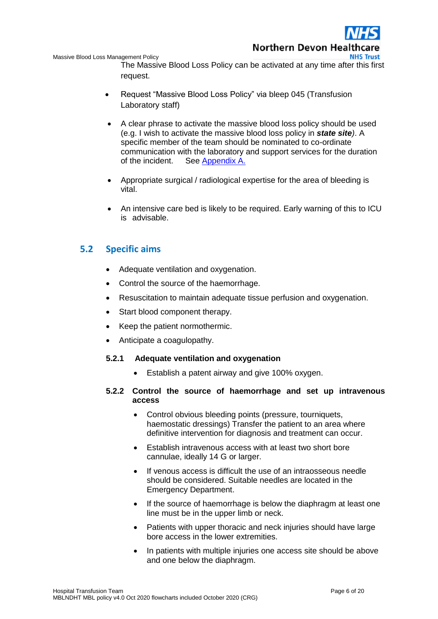

The Massive Blood Loss Policy can be activated at any time after this first request.

- Request "Massive Blood Loss Policy" via bleep 045 (Transfusion Laboratory staff)
- A clear phrase to activate the massive blood loss policy should be used (e.g. I wish to activate the massive blood loss policy in *state site)*. A specific member of the team should be nominated to co-ordinate communication with the laboratory and support services for the duration of the incident. See [Appendix A.](#page-14-0)
- Appropriate surgical / radiological expertise for the area of bleeding is vital.
- An intensive care bed is likely to be required. Early warning of this to ICU is advisable.

# <span id="page-5-0"></span>**5.2 Specific aims**

- Adequate ventilation and oxygenation.
- Control the source of the haemorrhage.
- Resuscitation to maintain adequate tissue perfusion and oxygenation.
- Start blood component therapy.
- Keep the patient normothermic.
- Anticipate a coagulopathy.

#### **5.2.1 Adequate ventilation and oxygenation**

Establish a patent airway and give 100% oxygen.

#### **5.2.2 Control the source of haemorrhage and set up intravenous access**

- Control obvious bleeding points (pressure, tourniquets, haemostatic dressings) Transfer the patient to an area where definitive intervention for diagnosis and treatment can occur.
- Establish intravenous access with at least two short bore cannulae, ideally 14 G or larger.
- If venous access is difficult the use of an intraosseous needle should be considered. Suitable needles are located in the Emergency Department.
- If the source of haemorrhage is below the diaphragm at least one line must be in the upper limb or neck.
- Patients with upper thoracic and neck injuries should have large bore access in the lower extremities.
- In patients with multiple injuries one access site should be above and one below the diaphragm.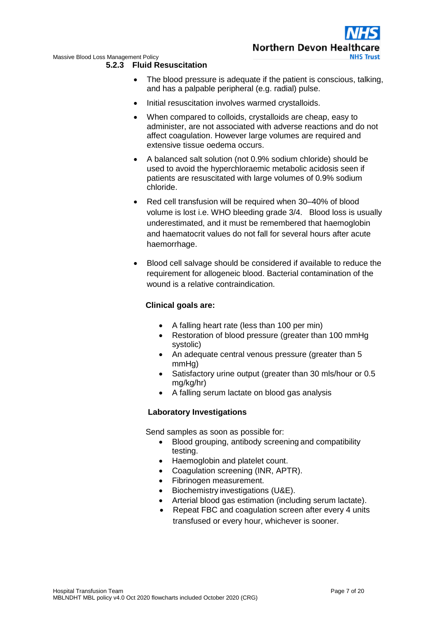

- **5.2.3 Fluid Resuscitation**
	- The blood pressure is adequate if the patient is conscious, talking, and has a palpable peripheral (e.g. radial) pulse.
	- Initial resuscitation involves warmed crystalloids.
	- When compared to colloids, crystalloids are cheap, easy to administer, are not associated with adverse reactions and do not affect coagulation. However large volumes are required and extensive tissue oedema occurs.
	- A balanced salt solution (not 0.9% sodium chloride) should be used to avoid the hyperchloraemic metabolic acidosis seen if patients are resuscitated with large volumes of 0.9% sodium chloride.
	- Red cell transfusion will be required when 30–40% of blood volume is lost i.e. WHO bleeding grade 3/4. Blood loss is usually underestimated, and it must be remembered that haemoglobin and haematocrit values do not fall for several hours after acute haemorrhage.
	- Blood cell salvage should be considered if available to reduce the requirement for allogeneic blood. Bacterial contamination of the wound is a relative contraindication.

# **Clinical goals are:**

- A falling heart rate (less than 100 per min)
- Restoration of blood pressure (greater than 100 mmHg systolic)
- An adequate central venous pressure (greater than 5 mmHg)
- Satisfactory urine output (greater than 30 mls/hour or 0.5 mg/kg/hr)
- A falling serum lactate on blood gas analysis

### **Laboratory Investigations**

Send samples as soon as possible for:

- Blood grouping, antibody screening and compatibility testing.
- Haemoglobin and platelet count.
- Coagulation screening (INR, APTR).
- Fibrinogen measurement.
- Biochemistry investigations (U&E).
- Arterial blood gas estimation (including serum lactate).
- Repeat FBC and coagulation screen after every 4 units transfused or every hour, whichever is sooner.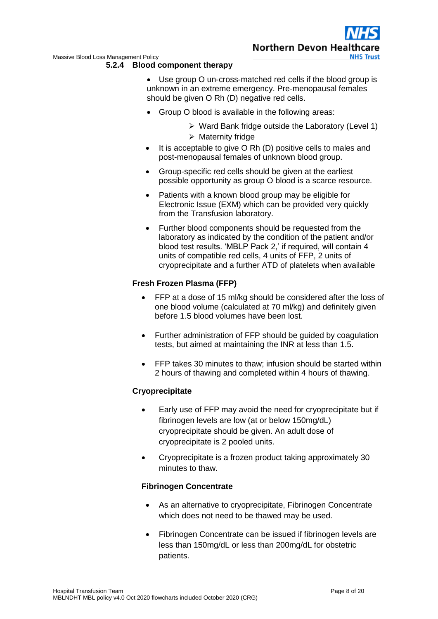**Northern Devon Health NHS Trust** 

Massive Blood Loss Management Policy

#### **5.2.4 Blood component therapy**

- Use group O un-cross-matched red cells if the blood group is unknown in an extreme emergency. Pre-menopausal females should be given O Rh (D) negative red cells.
- Group O blood is available in the following areas:
	- $\triangleright$  Ward Bank fridge outside the Laboratory (Level 1)
	- $\triangleright$  Maternity fridge
- $\bullet$  It is acceptable to give O Rh (D) positive cells to males and post-menopausal females of unknown blood group.
- Group-specific red cells should be given at the earliest possible opportunity as group O blood is a scarce resource.
- Patients with a known blood group may be eligible for Electronic Issue (EXM) which can be provided very quickly from the Transfusion laboratory.
- Further blood components should be requested from the laboratory as indicated by the condition of the patient and/or blood test results. 'MBLP Pack 2,' if required, will contain 4 units of compatible red cells, 4 units of FFP, 2 units of cryoprecipitate and a further ATD of platelets when available

#### **Fresh Frozen Plasma (FFP)**

- **FFP** at a dose of 15 ml/kg should be considered after the loss of one blood volume (calculated at 70 ml/kg) and definitely given before 1.5 blood volumes have been lost.
- Further administration of FFP should be quided by coagulation tests, but aimed at maintaining the INR at less than 1.5.
- FFP takes 30 minutes to thaw; infusion should be started within 2 hours of thawing and completed within 4 hours of thawing.

#### **Cryoprecipitate**

- Early use of FFP may avoid the need for cryoprecipitate but if fibrinogen levels are low (at or below 150mg/dL) cryoprecipitate should be given. An adult dose of cryoprecipitate is 2 pooled units.
- Cryoprecipitate is a frozen product taking approximately 30 minutes to thaw.

#### **Fibrinogen Concentrate**

- As an alternative to cryoprecipitate, Fibrinogen Concentrate which does not need to be thawed may be used.
- Fibrinogen Concentrate can be issued if fibrinogen levels are less than 150mg/dL or less than 200mg/dL for obstetric patients.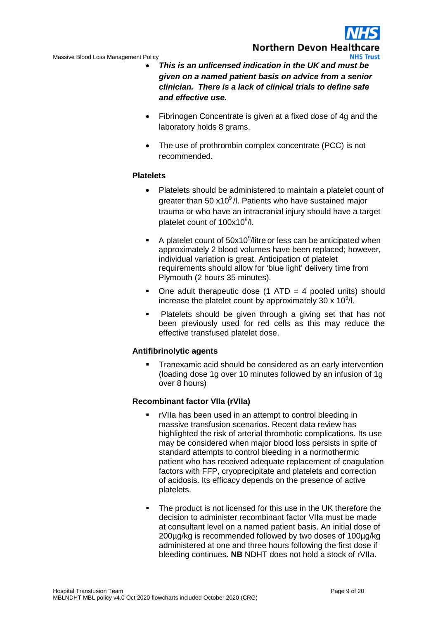

- *This is an unlicensed indication in the UK and must be given on a named patient basis on advice from a senior clinician. There is a lack of clinical trials to define safe and effective use.*
- Fibrinogen Concentrate is given at a fixed dose of 4g and the laboratory holds 8 grams.
- The use of prothrombin complex concentrate (PCC) is not recommended.

#### **Platelets**

- Platelets should be administered to maintain a platelet count of greater than 50  $x10<sup>9</sup>/l$ . Patients who have sustained major trauma or who have an intracranial injury should have a target platelet count of 100x10<sup>9</sup>/l.
- A platelet count of  $50x10<sup>9</sup>/\text{litre}$  or less can be anticipated when approximately 2 blood volumes have been replaced; however, individual variation is great. Anticipation of platelet requirements should allow for 'blue light' delivery time from Plymouth (2 hours 35 minutes).
- One adult therapeutic dose  $(1 \text{ ATD} = 4 \text{ pooled units})$  should increase the platelet count by approximately 30 x 10 $\degree$ /l.
- Platelets should be given through a giving set that has not been previously used for red cells as this may reduce the effective transfused platelet dose.

#### **Antifibrinolytic agents**

 Tranexamic acid should be considered as an early intervention (loading dose 1g over 10 minutes followed by an infusion of 1g over 8 hours)

#### **Recombinant factor VIIa (rVIIa)**

- rVIIa has been used in an attempt to control bleeding in massive transfusion scenarios. Recent data review has highlighted the risk of arterial thrombotic complications. Its use may be considered when major blood loss persists in spite of standard attempts to control bleeding in a normothermic patient who has received adequate replacement of coagulation factors with FFP, cryoprecipitate and platelets and correction of acidosis. Its efficacy depends on the presence of active platelets.
- The product is not licensed for this use in the UK therefore the decision to administer recombinant factor VIIa must be made at consultant level on a named patient basis. An initial dose of 200µg/kg is recommended followed by two doses of 100µg/kg administered at one and three hours following the first dose if bleeding continues. **NB** NDHT does not hold a stock of rVIIa.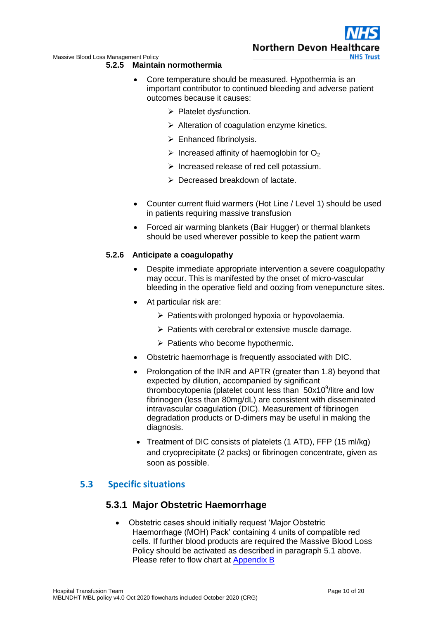**Northern Devon Health** 

**NHS Truct** 

Massive Blood Loss Management Policy

#### **5.2.5 Maintain normothermia**

- Core temperature should be measured. Hypothermia is an important contributor to continued bleeding and adverse patient outcomes because it causes:
	- $\triangleright$  Platelet dysfunction.
	- $\triangleright$  Alteration of coagulation enzyme kinetics.
	- $\triangleright$  Enhanced fibrinolysis.
	- $\triangleright$  Increased affinity of haemoglobin for O<sub>2</sub>
	- $\triangleright$  Increased release of red cell potassium.
	- Decreased breakdown of lactate.
- Counter current fluid warmers (Hot Line / Level 1) should be used in patients requiring massive transfusion
- Forced air warming blankets (Bair Hugger) or thermal blankets should be used wherever possible to keep the patient warm

### **5.2.6 Anticipate a coagulopathy**

- Despite immediate appropriate intervention a severe coagulopathy may occur. This is manifested by the onset of micro-vascular bleeding in the operative field and oozing from venepuncture sites.
- At particular risk are:
	- $\triangleright$  Patients with prolonged hypoxia or hypovolaemia.
	- $\triangleright$  Patients with cerebral or extensive muscle damage.
	- $\triangleright$  Patients who become hypothermic.
- Obstetric haemorrhage is frequently associated with DIC.
- Prolongation of the INR and APTR (greater than 1.8) beyond that expected by dilution, accompanied by significant thrombocytopenia (platelet count less than 50x10<sup>9</sup>/litre and low fibrinogen (less than 80mg/dL) are consistent with disseminated intravascular coagulation (DIC). Measurement of fibrinogen degradation products or D-dimers may be useful in making the diagnosis.
- Treatment of DIC consists of platelets (1 ATD), FFP (15 ml/kg) and cryoprecipitate (2 packs) or fibrinogen concentrate, given as soon as possible.

### **5.3 Specific situations**

### <span id="page-9-0"></span>**5.3.1 Major Obstetric Haemorrhage**

 Obstetric cases should initially request 'Major Obstetric Haemorrhage (MOH) Pack' containing 4 units of compatible red cells. If further blood products are required the Massive Blood Loss Policy should be activated as described in paragraph 5.1 above. Please refer to flow chart at [Appendix B](#page-17-0)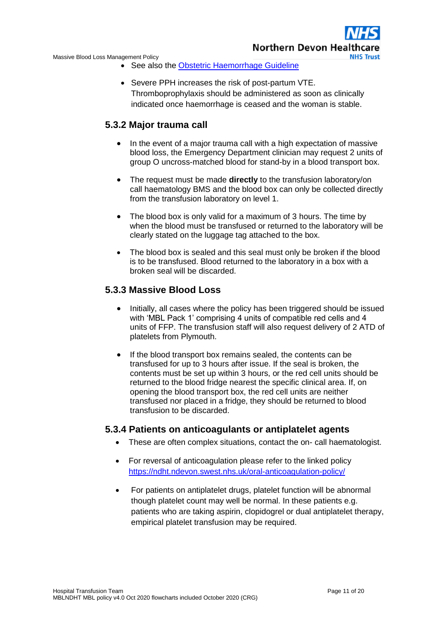**Northern Devon Healtho NHS Trust** 

Massive Blood Loss Management Policy

- See also the [Obstetric Haemorrhage Guideline](https://ndht.ndevon.swest.nhs.uk/obstetric-haemorrhage-guideline/)
- Severe PPH increases the risk of post-partum VTE. Thromboprophylaxis should be administered as soon as clinically indicated once haemorrhage is ceased and the woman is stable.

### **5.3.2 Major trauma call**

- In the event of a major trauma call with a high expectation of massive blood loss, the Emergency Department clinician may request 2 units of group O uncross-matched blood for stand-by in a blood transport box.
- The request must be made **directly** to the transfusion laboratory/on call haematology BMS and the blood box can only be collected directly from the transfusion laboratory on level 1.
- The blood box is only valid for a maximum of 3 hours. The time by when the blood must be transfused or returned to the laboratory will be clearly stated on the luggage tag attached to the box.
- The blood box is sealed and this seal must only be broken if the blood is to be transfused. Blood returned to the laboratory in a box with a broken seal will be discarded.

### **5.3.3 Massive Blood Loss**

- Initially, all cases where the policy has been triggered should be issued with 'MBL Pack 1' comprising 4 units of compatible red cells and 4 units of FFP. The transfusion staff will also request delivery of 2 ATD of platelets from Plymouth.
- If the blood transport box remains sealed, the contents can be transfused for up to 3 hours after issue. If the seal is broken, the contents must be set up within 3 hours, or the red cell units should be returned to the blood fridge nearest the specific clinical area. If, on opening the blood transport box, the red cell units are neither transfused nor placed in a fridge, they should be returned to blood transfusion to be discarded.

#### **5.3.4 Patients on anticoagulants or antiplatelet agents**

- These are often complex situations, contact the on- call haematologist.
- For reversal of anticoagulation please refer to the linked policy <https://ndht.ndevon.swest.nhs.uk/oral-anticoagulation-policy/>
- For patients on antiplatelet drugs, platelet function will be abnormal though platelet count may well be normal. In these patients e.g. patients who are taking aspirin, clopidogrel or dual antiplatelet therapy, empirical platelet transfusion may be required.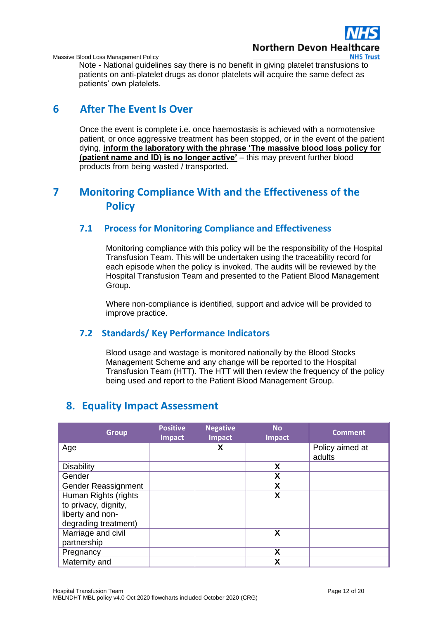

Note - National guidelines say there is no benefit in giving platelet transfusions to patients on anti-platelet drugs as donor platelets will acquire the same defect as patients' own platelets.

# <span id="page-11-0"></span>**6 After The Event Is Over**

Once the event is complete i.e. once haemostasis is achieved with a normotensive patient, or once aggressive treatment has been stopped, or in the event of the patient dying, **inform the laboratory with the phrase 'The massive blood loss policy for (patient name and ID) is no longer active'** – this may prevent further blood products from being wasted / transported.

# <span id="page-11-1"></span>**7 Monitoring Compliance With and the Effectiveness of the Policy**

# <span id="page-11-2"></span>**7.1 Process for Monitoring Compliance and Effectiveness**

Monitoring compliance with this policy will be the responsibility of the Hospital Transfusion Team. This will be undertaken using the traceability record for each episode when the policy is invoked. The audits will be reviewed by the Hospital Transfusion Team and presented to the Patient Blood Management Group.

Where non-compliance is identified, support and advice will be provided to improve practice.

# <span id="page-11-3"></span>**7.2 Standards/ Key Performance Indicators**

Blood usage and wastage is monitored nationally by the Blood Stocks Management Scheme and any change will be reported to the Hospital Transfusion Team (HTT). The HTT will then review the frequency of the policy being used and report to the Patient Blood Management Group.

# <span id="page-11-4"></span>**8. Equality Impact Assessment**

| <b>Group</b>         | <b>Positive</b><br>Impact | <b>Negative</b><br>Impact | <b>No</b><br><b>Impact</b> | <b>Comment</b>            |
|----------------------|---------------------------|---------------------------|----------------------------|---------------------------|
| Age                  |                           | X                         |                            | Policy aimed at<br>adults |
| <b>Disability</b>    |                           |                           | X                          |                           |
| Gender               |                           |                           | X                          |                           |
| Gender Reassignment  |                           |                           | X                          |                           |
| Human Rights (rights |                           |                           | X                          |                           |
| to privacy, dignity, |                           |                           |                            |                           |
| liberty and non-     |                           |                           |                            |                           |
| degrading treatment) |                           |                           |                            |                           |
| Marriage and civil   |                           |                           | X                          |                           |
| partnership          |                           |                           |                            |                           |
| Pregnancy            |                           |                           | X                          |                           |
| Maternity and        |                           |                           | X                          |                           |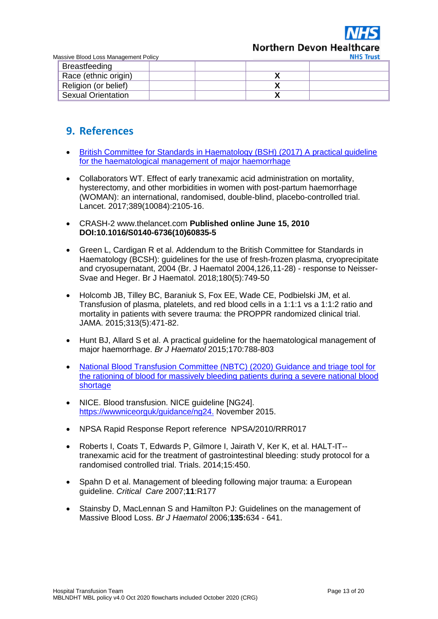**Northern Devon Healt** 

Massive Blood Loss Management Policy

| <b>Breastfeeding</b>      |  |  |
|---------------------------|--|--|
| Race (ethnic origin)      |  |  |
| Religion (or belief)      |  |  |
| <b>Sexual Orientation</b> |  |  |

# <span id="page-12-0"></span>**9. References**

- [British Committee for Standards in Haematology \(BSH\) \(2017\) A practical guideline](https://onlinelibrary.wiley.com/doi/full/10.1111/bjh.13580)  [for the haematological management of](https://onlinelibrary.wiley.com/doi/full/10.1111/bjh.13580) major haemorrhage
- Collaborators WT. Effect of early tranexamic acid administration on mortality, hysterectomy, and other morbidities in women with post-partum haemorrhage (WOMAN): an international, randomised, double-blind, placebo-controlled trial. Lancet. 2017;389(10084):2105-16.
- CRASH-2 www.thelancet.com **Published online June 15, 2010 DOI:10.1016/S0140-6736(10)60835-5**
- Green L, Cardigan R et al. Addendum to the British Committee for Standards in Haematology (BCSH): guidelines for the use of fresh-frozen plasma, cryoprecipitate and cryosupernatant, 2004 (Br. J Haematol 2004,126,11-28) - response to Neisser-Svae and Heger. Br J Haematol. 2018;180(5):749-50
- Holcomb JB, Tilley BC, Baraniuk S, Fox EE, Wade CE, Podbielski JM, et al. Transfusion of plasma, platelets, and red blood cells in a 1:1:1 vs a 1:1:2 ratio and mortality in patients with severe trauma: the PROPPR randomized clinical trial. JAMA. 2015;313(5):471-82.
- Hunt BJ, Allard S et al. A practical guideline for the haematological management of major haemorrhage. *Br J Haematol* 2015;170:788-803
- [National Blood Transfusion Committee \(NBTC\) \(2020\) Guidance and triage tool for](https://onlinelibrary.wiley.com/doi/full/10.1111/bjh.16736)  [the rationing of blood for massively bleeding patients during a severe national blood](https://onlinelibrary.wiley.com/doi/full/10.1111/bjh.16736)  [shortage](https://onlinelibrary.wiley.com/doi/full/10.1111/bjh.16736)
- NICE. Blood transfusion. NICE quideline ING241. [https://wwwniceorguk/guidance/ng24.](https://www.nice.org.uk/guidance/ng24) November 2015.
- NPSA Rapid Response Report reference NPSA/2010/RRR017
- Roberts I, Coats T, Edwards P, Gilmore I, Jairath V, Ker K, et al. HALT-IT- tranexamic acid for the treatment of gastrointestinal bleeding: study protocol for a randomised controlled trial. Trials. 2014;15:450.
- Spahn D et al. Management of bleeding following major trauma: a European guideline. *Critical Care* 2007;**11**:R177
- Stainsby D, MacLennan S and Hamilton PJ: Guidelines on the management of Massive Blood Loss. *Br J Haematol* 2006;**135:**634 - 641.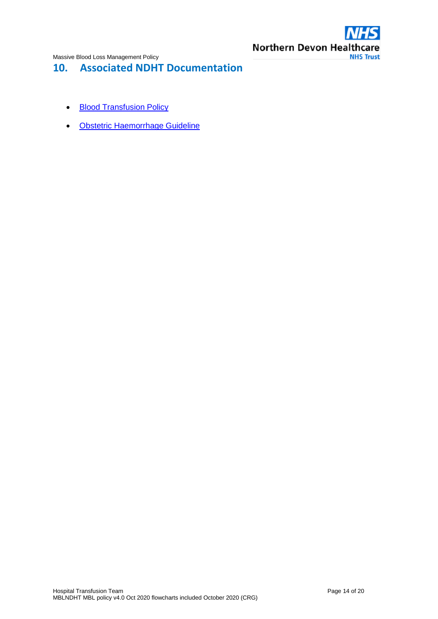

# <span id="page-13-0"></span>**10. Associated NDHT Documentation**

- [Blood Transfusion Policy](https://www.northdevonhealth.nhs.uk/2020/04/blood-transfusion-policy/)
- [Obstetric Haemorrhage Guideline](https://www.northdevonhealth.nhs.uk/2020/06/obstetric-haemorrhage-guideline/)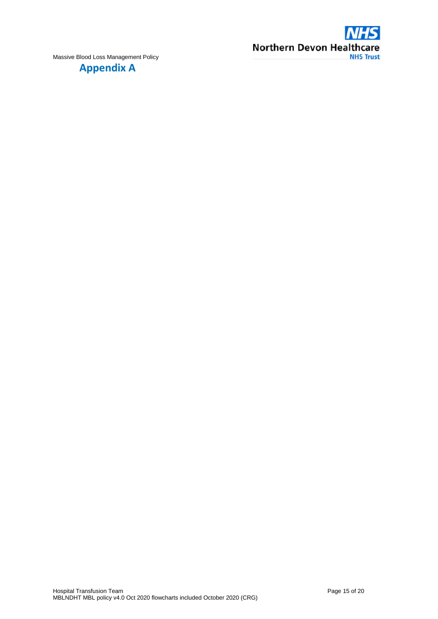

# <span id="page-14-0"></span>**Appendix A**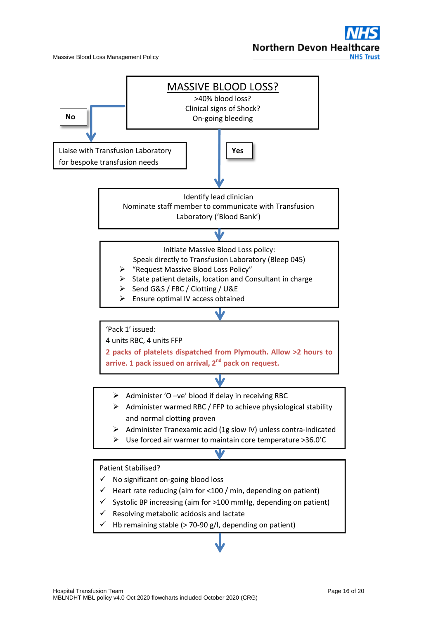**Northern Devon Heal** 

Massive Blood Loss Management Policy





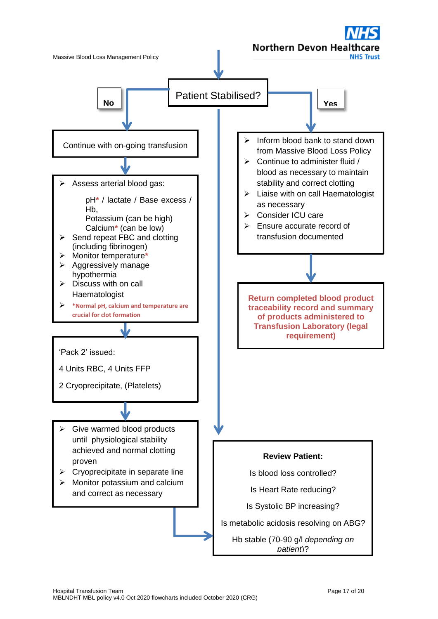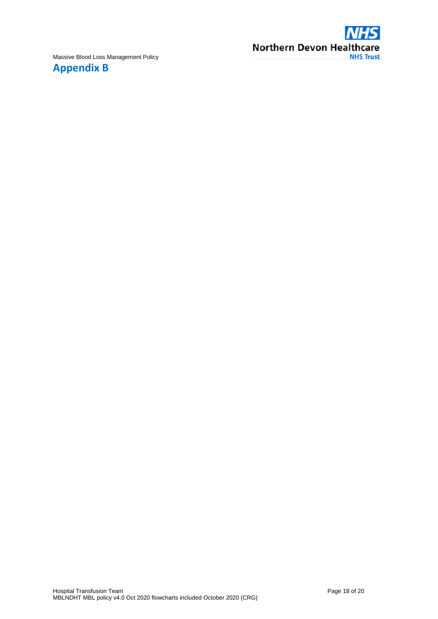<span id="page-17-0"></span>

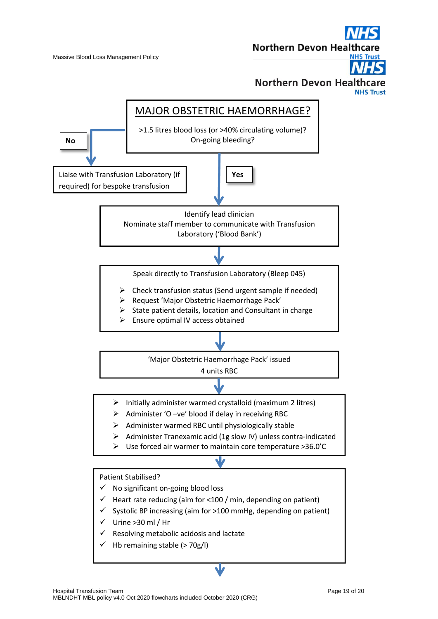**Northern Devon Hea** 



# **Northern Devon Healthcare**

**NHS Trust**